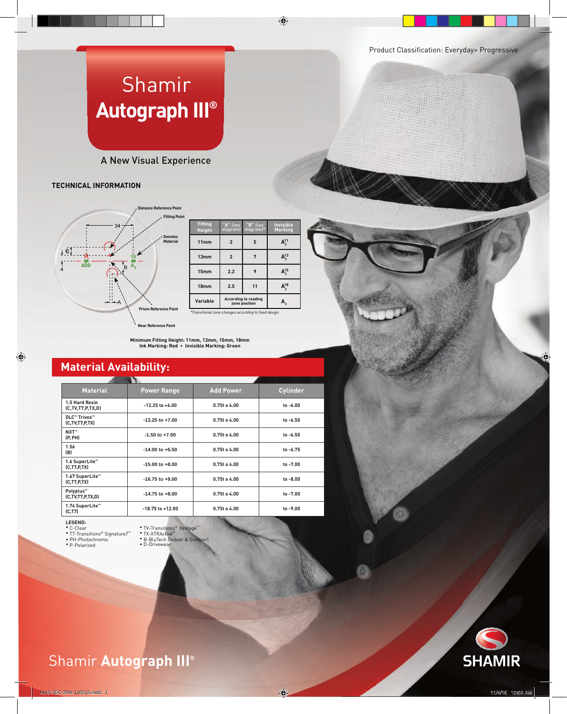# Shamir **Autograph III®**

### A New Visual Experience

### **TECHNICAL INFORMATION**



| <b>Fitting</b><br><b>Height</b> | "A" (see<br>diagram) | "B" (see<br>*diagram)                        | <b>Invisible</b><br><b>Marking</b> |
|---------------------------------|----------------------|----------------------------------------------|------------------------------------|
| 11mm                            | $\overline{2}$       | 5                                            | $A_{2}^{11}$                       |
| 13mm                            | $\overline{2}$       |                                              | $\mathsf{A}_2^{13}$                |
| 15mm                            | 2.2                  | 9                                            | $\mathsf{A}_\mathsf{2}^{15}$       |
| 18mm                            | 2.5                  | 11                                           | <b>4,3</b>                         |
| Variable                        |                      | <b>According to reading</b><br>zone position |                                    |

Shamir **Autograph II®**

**Prism Reference Point** \*Transitional zone changes according to fixed design

**Near Reference Point**

**Minimum Fitting Height: 11mm, 13mm, 15mm, 18mm Ink Marking: Red • Invisible Marking: Green**

### **Material Availability:**

| <b>Material</b>                           | <b>Power Range</b>   | <b>Add Power</b> | <b>Cylinder</b> |
|-------------------------------------------|----------------------|------------------|-----------------|
| 1.5 Hard Resin<br>(C, TV, T7, P, TX, D)   | $-12.25$ to $+6.00$  | 0.75t o 4.00     | to -6.00        |
| <b>DLC™ Trivex™</b><br>(C, TV, T7, P, TX) | $-13.25$ to $+7.00$  | $0.75t$ o 4.00   | to -6.50        |
| NXT™<br>(P, PH)                           | $-1.50$ to $+7.00$   | 0.75t o 4.00     | $to -6.50$      |
| 1.56<br>(B)                               | $-14.00$ to $+6.50$  | 0.75t o 4.00     | to -6.75        |
| 1.6 SuperLite™<br>(C, T7, P, TX)          | $-15.00$ to $+8.00$  | 0.75t o 4.00     | to -7.00        |
| 1.67 SuperLite™<br>(C, T7, P, TX)         | $-16.75$ to $+9.00$  | 0.75t o 4.00     | to -8.00        |
| Polyplus™<br>(C, TV, T7, P, TX, D)        | $-14.75$ to $+8.00$  | 0.75t o 4.00     | to -7.00        |
| 1.74 SuperLite <sup>™</sup><br>(C, T7)    | $-18.75$ to $+12.00$ | 0.75t o 4.00     | to -9.00        |

#### **LEGEND:**

- C-Clear TV-Transitions® Vantage™ T7-Transitions® Signature7™ TX-XTRActive™
- 
- PH-Photochromic<br>• P-Polarized

Shamir **InTouch™**

• TV-Transitions® Vantage™<br>• TX-XTRActive™<br>• B-BluTech (Indoor & Outdoor)<br>• D-Drivewear





ReCreating Perfect Vision®

Shamir **Autograph III®**

Shamir **Autograph III®**